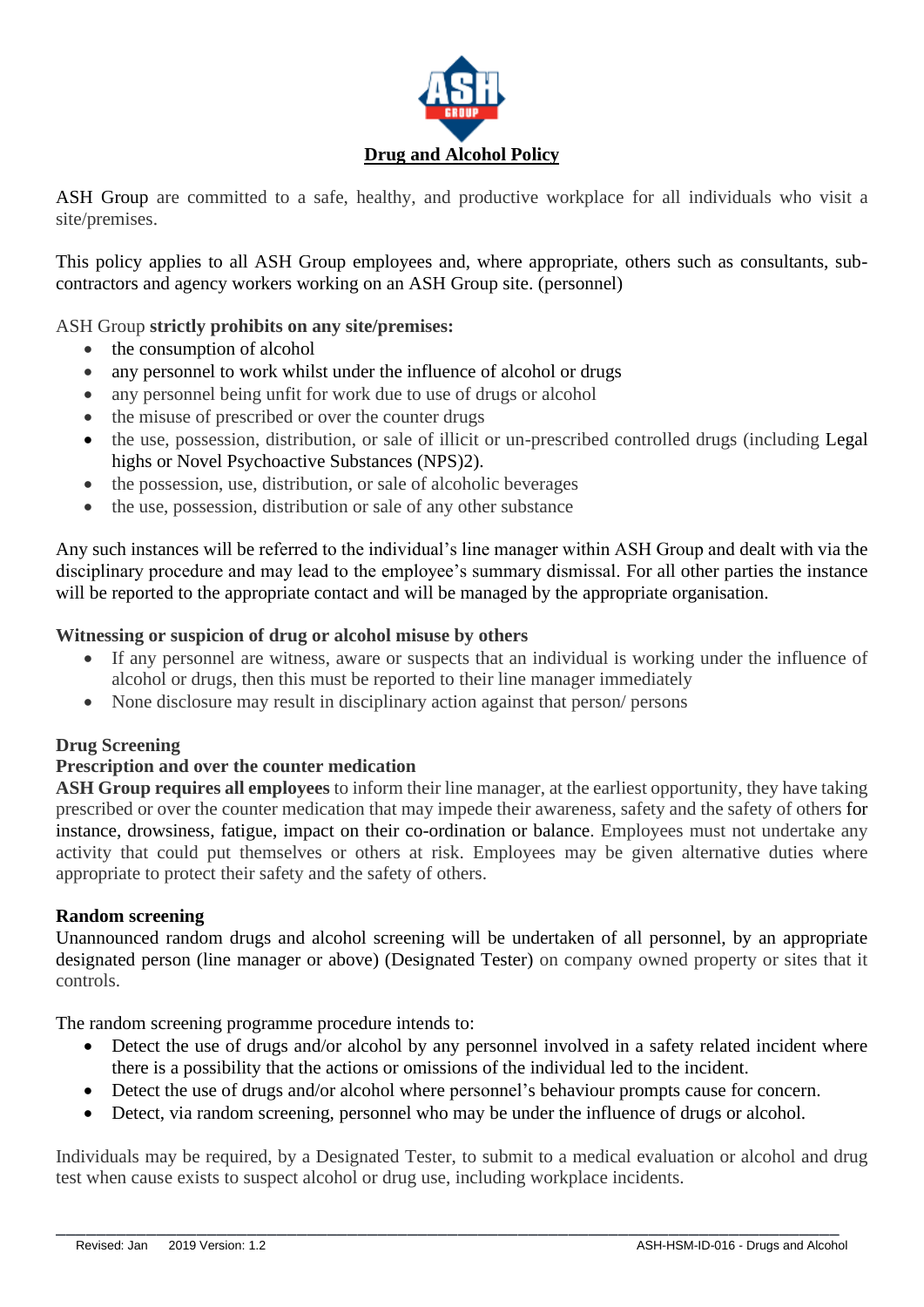

ASH Group are committed to a safe, healthy, and productive workplace for all individuals who visit a site/premises.

This policy applies to all ASH Group employees and, where appropriate, others such as consultants, subcontractors and agency workers working on an ASH Group site. (personnel)

# ASH Group **strictly prohibits on any site/premises:**

- the consumption of alcohol
- any personnel to work whilst under the influence of alcohol or drugs
- any personnel being unfit for work due to use of drugs or alcohol
- the misuse of prescribed or over the counter drugs
- the use, possession, distribution, or sale of illicit or un-prescribed controlled drugs (including Legal highs or Novel Psychoactive Substances (NPS)2).
- the possession, use, distribution, or sale of alcoholic beverages
- the use, possession, distribution or sale of any other substance

Any such instances will be referred to the individual's line manager within ASH Group and dealt with via the disciplinary procedure and may lead to the employee's summary dismissal. For all other parties the instance will be reported to the appropriate contact and will be managed by the appropriate organisation.

### **Witnessing or suspicion of drug or alcohol misuse by others**

- If any personnel are witness, aware or suspects that an individual is working under the influence of alcohol or drugs, then this must be reported to their line manager immediately
- None disclosure may result in disciplinary action against that person/ persons

# **Drug Screening**

# **Prescription and over the counter medication**

**ASH Group requires all employees** to inform their line manager, at the earliest opportunity, they have taking prescribed or over the counter medication that may impede their awareness, safety and the safety of others for instance, drowsiness, fatigue, impact on their co-ordination or balance. Employees must not undertake any activity that could put themselves or others at risk. Employees may be given alternative duties where appropriate to protect their safety and the safety of others.

#### **Random screening**

Unannounced random drugs and alcohol screening will be undertaken of all personnel, by an appropriate designated person (line manager or above) (Designated Tester) on company owned property or sites that it controls.

The random screening programme procedure intends to:

- Detect the use of drugs and/or alcohol by any personnel involved in a safety related incident where there is a possibility that the actions or omissions of the individual led to the incident.
- Detect the use of drugs and/or alcohol where personnel's behaviour prompts cause for concern.
- Detect, via random screening, personnel who may be under the influence of drugs or alcohol.

Individuals may be required, by a Designated Tester, to submit to a medical evaluation or alcohol and drug test when cause exists to suspect alcohol or drug use, including workplace incidents.